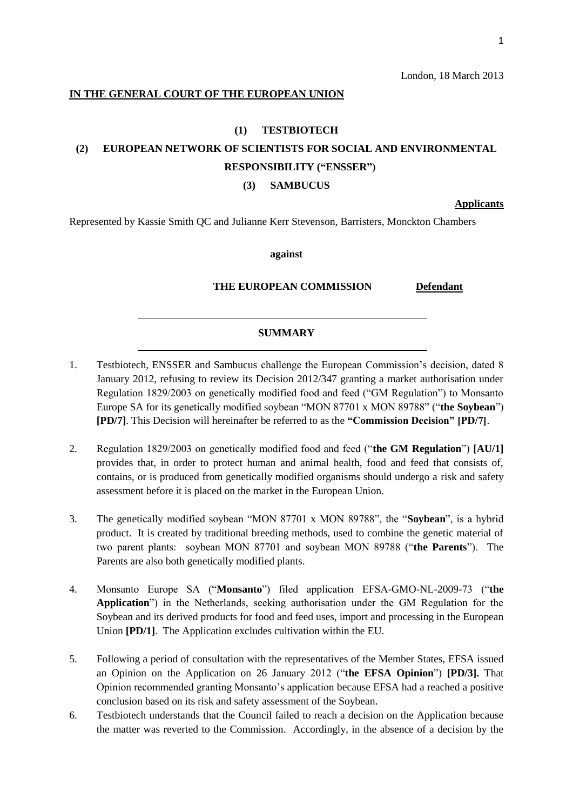## **IN THE GENERAL COURT OF THE EUROPEAN UNION**

### **(1) TESTBIOTECH**

# **(2) EUROPEAN NETWORK OF SCIENTISTS FOR SOCIAL AND ENVIRONMENTAL RESPONSIBILITY ("ENSSER")**

#### **(3) SAMBUCUS**

**Applicants**

Represented by Kassie Smith QC and Julianne Kerr Stevenson, Barristers, Monckton Chambers

**against**

 **THE EUROPEAN COMMISSION Defendant**

# **SUMMARY**

- 1. Testbiotech, ENSSER and Sambucus challenge the European Commission's decision, dated 8 January 2012, refusing to review its Decision 2012/347 granting a market authorisation under Regulation 1829/2003 on genetically modified food and feed ("GM Regulation") to Monsanto Europe SA for its genetically modified soybean "MON 87701 x MON 89788" ("**the Soybean**") **[PD/7]**. This Decision will hereinafter be referred to as the **"Commission Decision" [PD/7]**.
- 2. Regulation 1829/2003 on genetically modified food and feed ("**the GM Regulation**") **[AU/1]**  provides that, in order to protect human and animal health, food and feed that consists of, contains, or is produced from genetically modified organisms should undergo a risk and safety assessment before it is placed on the market in the European Union.
- 3. The genetically modified soybean "MON 87701 x MON 89788", the "**Soybean**", is a hybrid product. It is created by traditional breeding methods, used to combine the genetic material of two parent plants: soybean MON 87701 and soybean MON 89788 ("**the Parents**"). The Parents are also both genetically modified plants.
- 4. Monsanto Europe SA ("**Monsanto**") filed application EFSA-GMO-NL-2009-73 ("**the Application**") in the Netherlands, seeking authorisation under the GM Regulation for the Soybean and its derived products for food and feed uses, import and processing in the European Union **[PD/1]**. The Application excludes cultivation within the EU.
- 5. Following a period of consultation with the representatives of the Member States, EFSA issued an Opinion on the Application on 26 January 2012 ("**the EFSA Opinion**") **[PD/3].** That Opinion recommended granting Monsanto's application because EFSA had a reached a positive conclusion based on its risk and safety assessment of the Soybean.
- 6. Testbiotech understands that the Council failed to reach a decision on the Application because the matter was reverted to the Commission. Accordingly, in the absence of a decision by the